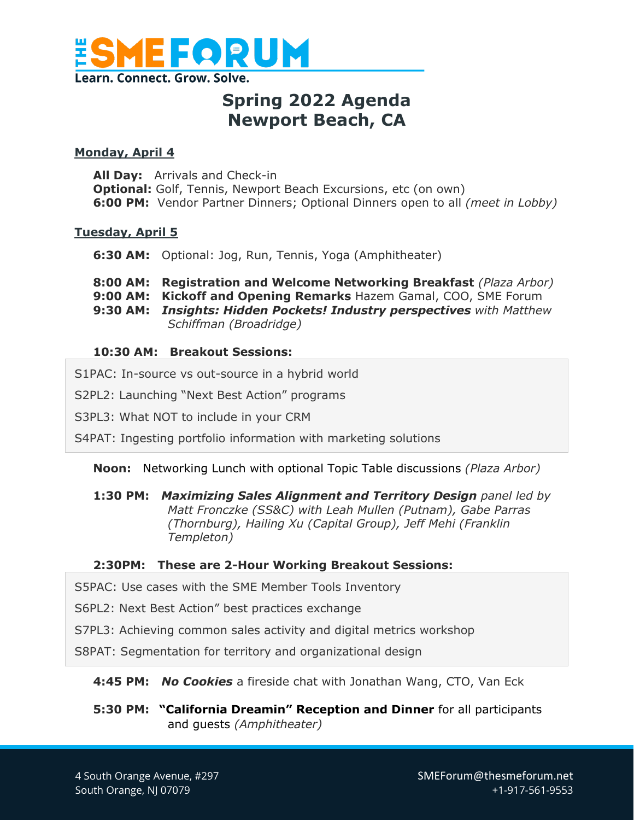

## **Spring 2022 Agenda Newport Beach, CA**

### **Monday, April 4**

**All Day:** Arrivals and Check-in **Optional:** Golf, Tennis, Newport Beach Excursions, etc (on own) **6:00 PM:** Vendor Partner Dinners; Optional Dinners open to all *(meet in Lobby)*

### **Tuesday, April 5**

**6:30 AM:** Optional: Jog, Run, Tennis, Yoga (Amphitheater)

- **8:00 AM: Registration and Welcome Networking Breakfast** *(Plaza Arbor)*
- **9:00 AM: Kickoff and Opening Remarks** Hazem Gamal, COO, SME Forum
- **9:30 AM:** *Insights: Hidden Pockets! Industry perspectives with Matthew Schiffman (Broadridge)*

### **10:30 AM: Breakout Sessions:**

- S1PAC: In-source vs out-source in a hybrid world
- S2PL2: Launching "Next Best Action" programs
- S3PL3: What NOT to include in your CRM

S4PAT: Ingesting portfolio information with marketing solutions

#### **Noon:** Networking Lunch with optional Topic Table discussions *(Plaza Arbor)*

**1:30 PM:** *Maximizing Sales Alignment and Territory Design panel led by Matt Fronczke (SS&C) with Leah Mullen (Putnam), Gabe Parras (Thornburg), Hailing Xu (Capital Group), Jeff Mehi (Franklin Templeton)*

### **2:30PM: These are 2-Hour Working Breakout Sessions:**

S5PAC: Use cases with the SME Member Tools Inventory

S6PL2: Next Best Action" best practices exchange

S7PL3: Achieving common sales activity and digital metrics workshop

S8PAT: Segmentation for territory and organizational design

### **4:45 PM:** *No Cookies* a fireside chat with Jonathan Wang, CTO, Van Eck

**5:30 PM: "California Dreamin" Reception and Dinner** for all participants and guests *(Amphitheater)*